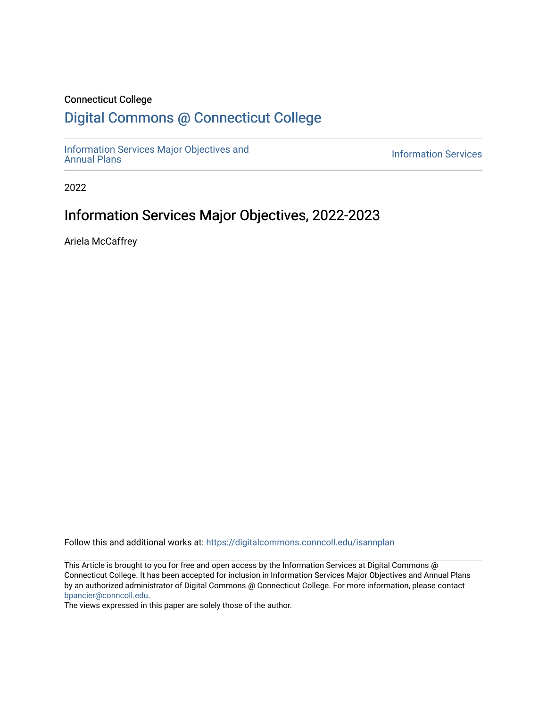#### Connecticut College

## [Digital Commons @ Connecticut College](https://digitalcommons.conncoll.edu/)

[Information Services Major Objectives and](https://digitalcommons.conncoll.edu/isannplan) 

**Information Services** 

2022

## Information Services Major Objectives, 2022-2023

Ariela McCaffrey

Follow this and additional works at: [https://digitalcommons.conncoll.edu/isannplan](https://digitalcommons.conncoll.edu/isannplan?utm_source=digitalcommons.conncoll.edu%2Fisannplan%2F23&utm_medium=PDF&utm_campaign=PDFCoverPages) 

This Article is brought to you for free and open access by the Information Services at Digital Commons @ Connecticut College. It has been accepted for inclusion in Information Services Major Objectives and Annual Plans by an authorized administrator of Digital Commons @ Connecticut College. For more information, please contact [bpancier@conncoll.edu.](mailto:bpancier@conncoll.edu)

The views expressed in this paper are solely those of the author.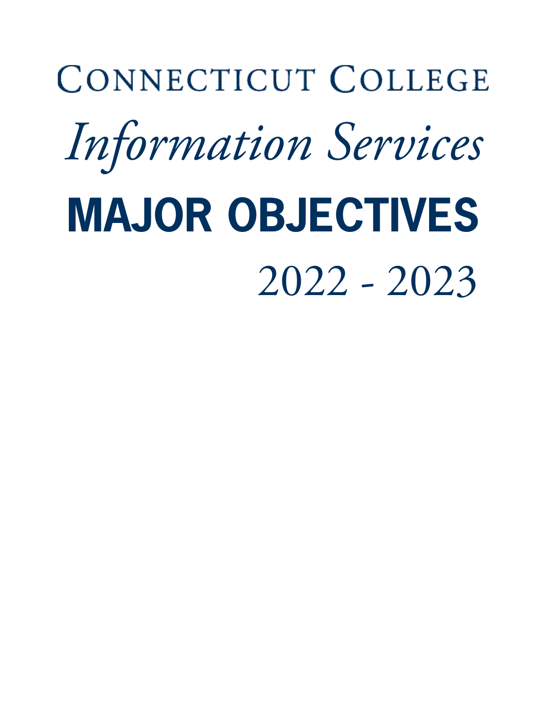# CONNECTICUT COLLEGE *Information Services* **MAJOR OBJECTIVES** 2022 - 2023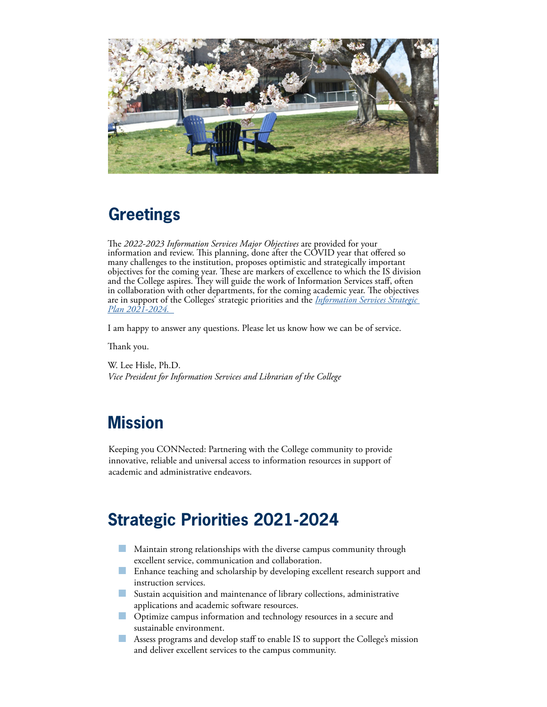

## **Greetings**

The *2022-2023 Information Services Major Objectives* are provided for your information and review. This planning, done after the COVID year that offered so many challenges to the institution, proposes optimistic and strategically important objectives for the coming year. These are markers of excellence to which the IS division and the College aspires. They will guide the work of Information Services staff, often in collaboration with other departments, for the coming academic year. The objectives are in support of the Colleges' strategic priorities and the *[Information Services Strategic](https://digitalcommons.conncoll.edu/stratplan/6/)  [Plan 2021-2024.](https://digitalcommons.conncoll.edu/stratplan/6/)* 

I am happy to answer any questions. Please let us know how we can be of service.

Thank you.

W. Lee Hisle, Ph.D. *Vice President for Information Services and Librarian of the College*

## **Mission**

Keeping you CONNected: Partnering with the College community to provide innovative, reliable and universal access to information resources in support of academic and administrative endeavors.

# **Strategic Priorities 2021-2024**

- **Maintain strong relationships with the diverse campus community through** excellent service, communication and collaboration.
- **Enhance teaching and scholarship by developing excellent research support and** instruction services.
- Sustain acquisition and maintenance of library collections, administrative applications and academic software resources.
- **Optimize campus information and technology resources in a secure and** sustainable environment.
- Assess programs and develop staff to enable IS to support the College's mission and deliver excellent services to the campus community.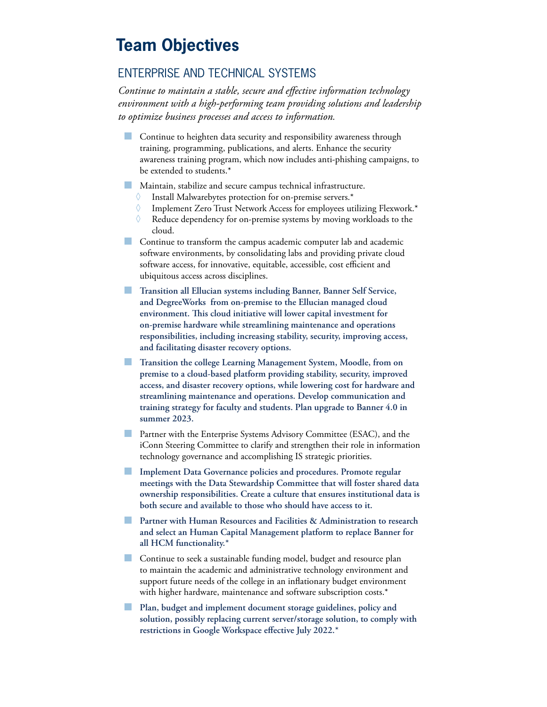## **Team Objectives**

#### ENTERPRISE AND TECHNICAL SYSTEMS

*Continue to maintain a stable, secure and effective information technology environment with a high-performing team providing solutions and leadership to optimize business processes and access to information.*

- **Continue to heighten data security and responsibility awareness through** training, programming, publications, and alerts. Enhance the security awareness training program, which now includes anti-phishing campaigns, to be extended to students.\*
- Maintain, stabilize and secure campus technical infrastructure.
	- ◊ Install Malwarebytes protection for on-premise servers.\*
	- ◊ Implement Zero Trust Network Access for employees utilizing Flexwork.\*
	- $\Diamond$  Reduce dependency for on-premise systems by moving workloads to the cloud.
- **Continue to transform the campus academic computer lab and academic** software environments, by consolidating labs and providing private cloud software access, for innovative, equitable, accessible, cost efficient and ubiquitous access across disciplines.
- **Transition all Ellucian systems including Banner, Banner Self Service, and DegreeWorks from on-premise to the Ellucian managed cloud environment. This cloud initiative will lower capital investment for on-premise hardware while streamlining maintenance and operations responsibilities, including increasing stability, security, improving access, and facilitating disaster recovery options.**
- **Transition the college Learning Management System, Moodle, from on premise to a cloud-based platform providing stability, security, improved access, and disaster recovery options, while lowering cost for hardware and streamlining maintenance and operations. Develop communication and training strategy for faculty and students. Plan upgrade to Banner 4.0 in summer 2023.**
- **Partner with the Enterprise Systems Advisory Committee (ESAC), and the** iConn Steering Committee to clarify and strengthen their role in information technology governance and accomplishing IS strategic priorities.
- **Implement Data Governance policies and procedures. Promote regular meetings with the Data Stewardship Committee that will foster shared data ownership responsibilities. Create a culture that ensures institutional data is both secure and available to those who should have access to it.**
- **Partner with Human Resources and Facilities & Administration to research and select an Human Capital Management platform to replace Banner for all HCM functionality.\***
- Continue to seek a sustainable funding model, budget and resource plan to maintain the academic and administrative technology environment and support future needs of the college in an inflationary budget environment with higher hardware, maintenance and software subscription costs.\*
- **Plan, budget and implement document storage guidelines, policy and solution, possibly replacing current server/storage solution, to comply with restrictions in Google Workspace effective July 2022.\***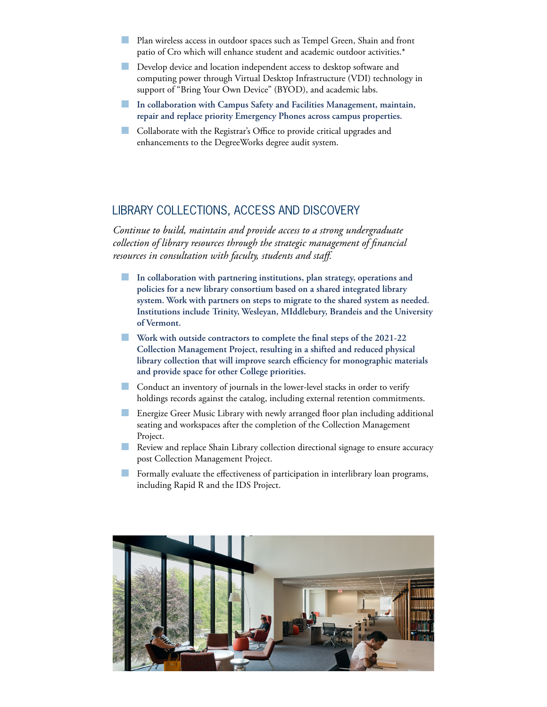- Plan wireless access in outdoor spaces such as Tempel Green, Shain and front patio of Cro which will enhance student and academic outdoor activities.\*
- **Develop device and location independent access to desktop software and** computing power through Virtual Desktop Infrastructure (VDI) technology in support of "Bring Your Own Device" (BYOD), and academic labs.
- **In collaboration with Campus Safety and Facilities Management, maintain, repair and replace priority Emergency Phones across campus properties.**
- Collaborate with the Registrar's Office to provide critical upgrades and enhancements to the DegreeWorks degree audit system.

#### LIBRARY COLLECTIONS, ACCESS AND DISCOVERY

*Continue to build, maintain and provide access to a strong undergraduate collection of library resources through the strategic management of financial resources in consultation with faculty, students and staff.*

- **In collaboration with partnering institutions, plan strategy, operations and policies for a new library consortium based on a shared integrated library system. Work with partners on steps to migrate to the shared system as needed. Institutions include Trinity, Wesleyan, MIddlebury, Brandeis and the University of Vermont.**
- **Work with outside contractors to complete the final steps of the 2021-22 Collection Management Project, resulting in a shifted and reduced physical library collection that will improve search efficiency for monographic materials and provide space for other College priorities.**
- **Conduct an inventory of journals in the lower-level stacks in order to verify** holdings records against the catalog, including external retention commitments.
- Energize Greer Music Library with newly arranged floor plan including additional seating and workspaces after the completion of the Collection Management Project.
- **Review and replace Shain Library collection directional signage to ensure accuracy** post Collection Management Project.
- Formally evaluate the effectiveness of participation in interlibrary loan programs, including Rapid R and the IDS Project.

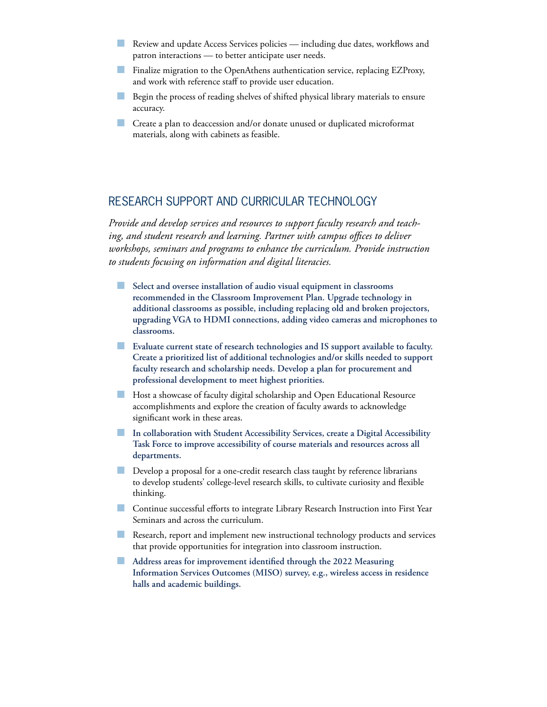- Review and update Access Services policies including due dates, workflows and patron interactions — to better anticipate user needs.
- **Finalize migration to the OpenAthens authentication service, replacing EZProxy,** and work with reference staff to provide user education.
- Begin the process of reading shelves of shifted physical library materials to ensure accuracy.
- **Create a plan to deaccession and/or donate unused or duplicated microformat** materials, along with cabinets as feasible.

#### RESEARCH SUPPORT AND CURRICULAR TECHNOLOGY

*Provide and develop services and resources to support faculty research and teaching, and student research and learning. Partner with campus offices to deliver workshops, seminars and programs to enhance the curriculum. Provide instruction to students focusing on information and digital literacies.*

- **Select and oversee installation of audio visual equipment in classrooms recommended in the Classroom Improvement Plan. Upgrade technology in additional classrooms as possible, including replacing old and broken projectors, upgrading VGA to HDMI connections, adding video cameras and microphones to classrooms.**
- **Evaluate current state of research technologies and IS support available to faculty. Create a prioritized list of additional technologies and/or skills needed to support faculty research and scholarship needs. Develop a plan for procurement and professional development to meet highest priorities.**
- Host a showcase of faculty digital scholarship and Open Educational Resource accomplishments and explore the creation of faculty awards to acknowledge significant work in these areas.
- **In collaboration with Student Accessibility Services, create a Digital Accessibility Task Force to improve accessibility of course materials and resources across all departments.**
- Develop a proposal for a one-credit research class taught by reference librarians to develop students' college-level research skills, to cultivate curiosity and flexible thinking.
- Continue successful efforts to integrate Library Research Instruction into First Year Seminars and across the curriculum.
- Research, report and implement new instructional technology products and services that provide opportunities for integration into classroom instruction.
- **Address areas for improvement identified through the 2022 Measuring Information Services Outcomes (MISO) survey, e.g., wireless access in residence halls and academic buildings.**